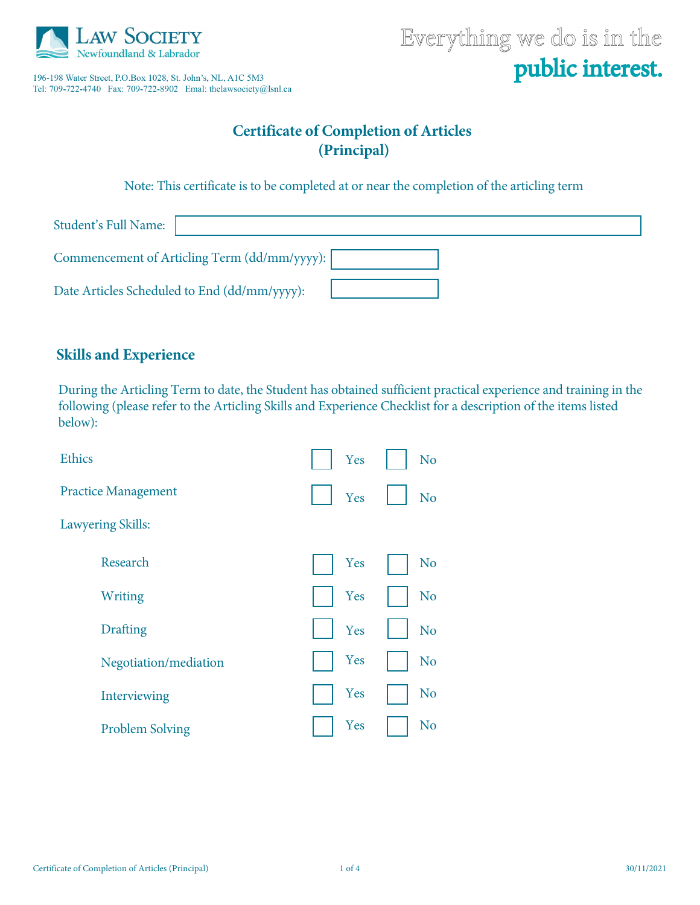

196-198 Water Street, P.O.Box 1028, St. John's, NL, A1C 5M3 Tel: 709-722-4740 Fax: 709-722-8902 Emal: thelawsociety@lsnl.ca

# Everything we do is in the public interest.

# **Certificate of Completion of Articles (Principal)**

Note: This certificate is to be completed at or near the completion of the articling term

| Student's Full Name:                         |  |
|----------------------------------------------|--|
| Commencement of Articling Term (dd/mm/yyyy): |  |
| Date Articles Scheduled to End (dd/mm/yyyy): |  |

### **Skills and Experience**

During the Articling Term to date, the Student has obtained sufficient practical experience and training in the following (please refer to the Articling Skills and Experience Checklist for a description of the items listed below):

| <b>Ethics</b>              | Yes | N <sub>o</sub> |
|----------------------------|-----|----------------|
| <b>Practice Management</b> | Yes | N <sub>o</sub> |
| <b>Lawyering Skills:</b>   |     |                |
| Research                   | Yes | N <sub>o</sub> |
| Writing                    | Yes | N <sub>o</sub> |
| <b>Drafting</b>            | Yes | N <sub>o</sub> |
| Negotiation/mediation      | Yes | N <sub>o</sub> |
| Interviewing               | Yes | N <sub>o</sub> |
| <b>Problem Solving</b>     | Yes | N <sub>o</sub> |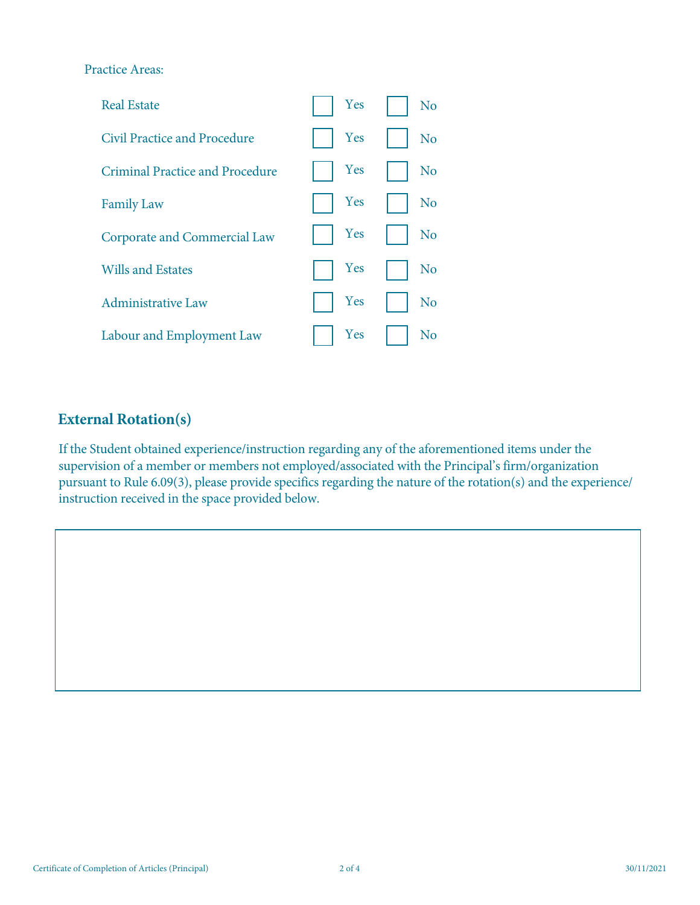#### Practice Areas:



# **External Rotation(s)**

If the Student obtained experience/instruction regarding any of the aforementioned items under the supervision of a member or members not employed/associated with the Principal's firm/organization pursuant to Rule 6.09(3), please provide specifics regarding the nature of the rotation(s) and the experience/ instruction received in the space provided below.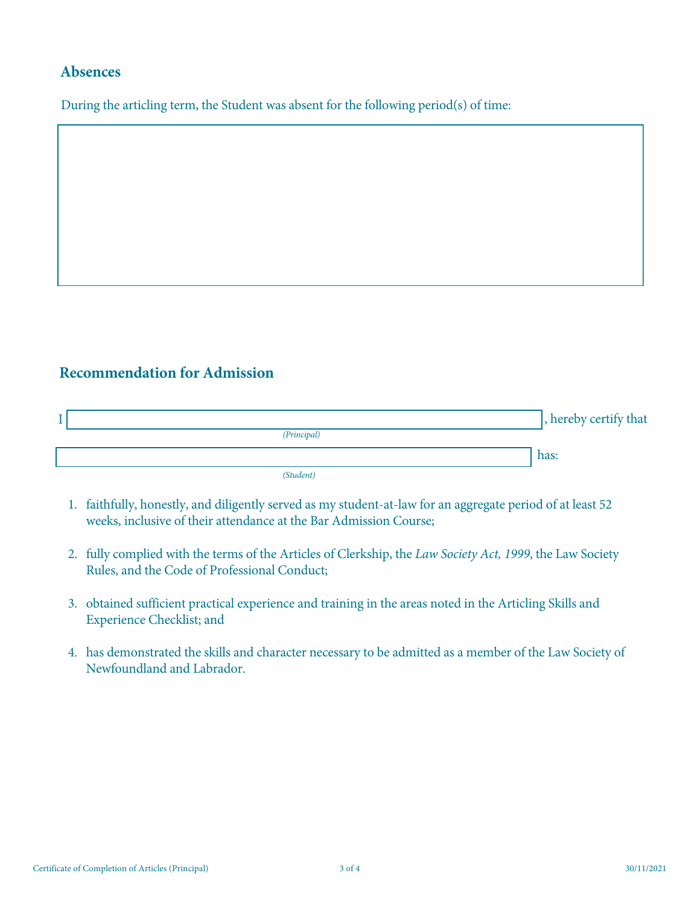#### **Absences**

During the articling term, the Student was absent for the following period(s) of time:

# **Recommendation for Admission**

, hereby certify that has: *(Principal) (Student)*  I

- 1. faithfully, honestly, and diligently served as my student-at-law for an aggregate period of at least 52 weeks, inclusive of their attendance at the Bar Admission Course;
- 2. fully complied with the terms of the Articles of Clerkship, the *Law Society Act, 1999*, the Law Society Rules, and the Code of Professional Conduct;
- 3. obtained sufficient practical experience and training in the areas noted in the Articling Skills and Experience Checklist; and
- 4. has demonstrated the skills and character necessary to be admitted as a member of the Law Society of Newfoundland and Labrador.